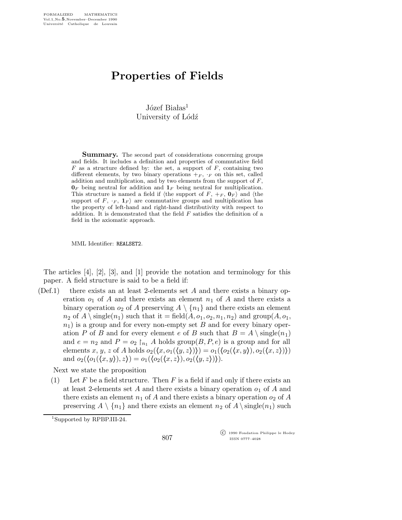## Properties of Fields

 $J$ ózef Białas<sup>1</sup> University of Lódź

Summary. The second part of considerations concerning groups and fields. It includes a definition and properties of commutative field  $F$  as a structure defined by: the set, a support of  $F$ , containing two different elements, by two binary operations  $+_F$ ,  $_F$  on this set, called addition and multiplication, and by two elements from the support of  $F$ ,  $\mathbf{0}_F$  being neutral for addition and  $\mathbf{1}_F$  being neutral for multiplication. This structure is named a field if (the support of  $F, +_F, 0_F$ ) and (the support of F,  $\cdot$ F,  $\mathbf{1}_F$  are commutative groups and multiplication has the property of left-hand and right-hand distributivity with respect to addition. It is demonstrated that the field  $F$  satisfies the definition of a field in the axiomatic approach.

MML Identifier: REALSET2.

The articles [4], [2], [3], and [1] provide the notation and terminology for this paper. A field structure is said to be a field if:

 $(\text{Def.1})$  there exists an at least 2-elements set A and there exists a binary operation  $o_1$  of A and there exists an element  $n_1$  of A and there exists a binary operation  $o_2$  of A preserving  $A \setminus \{n_1\}$  and there exists an element  $n_2$  of  $A \setminus \text{single}(n_1)$  such that it = field $(A, o_1, o_2, n_1, n_2)$  and group $(A, o_1,$  $n_1$ ) is a group and for every non-empty set B and for every binary operation P of B and for every element e of B such that  $B = A \setminus \text{single}(n_1)$ and  $e = n_2$  and  $P = o_2 \rceil_{n_1} A$  holds group $(B, P, e)$  is a group and for all elements x, y, z of A holds  $o_2(\langle x,o_1(\langle y,z\rangle))\rangle = o_1(\langle o_2(\langle x,y\rangle),o_2(\langle x,z\rangle))$ and  $o_2({o_1(\langle x,y \rangle),z}) = o_1({o_2(\langle x,z \rangle),o_2(\langle y,z \rangle))}).$ 

Next we state the proposition

(1) Let F be a field structure. Then F is a field if and only if there exists an at least 2-elements set A and there exists a binary operation  $o_1$  of A and there exists an element  $n_1$  of A and there exists a binary operation  $o_2$  of A preserving  $A \setminus \{n_1\}$  and there exists an element  $n_2$  of  $A \setminus \{n_1\}$  such

<sup>1</sup>Supported by RPBP.III-24.

 c 1990 Fondation Philippe le Hodey ISSN 0777–4028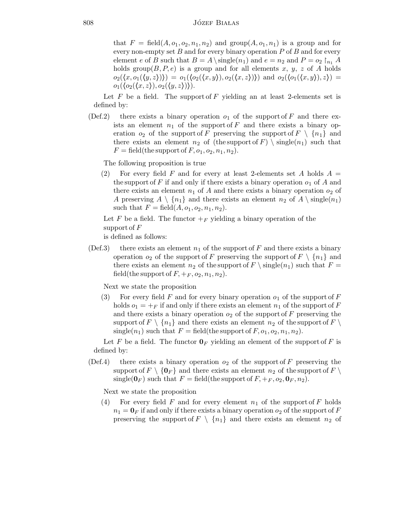that  $F = \text{field}(A, o_1, o_2, n_1, n_2)$  and  $\text{group}(A, o_1, n_1)$  is a group and for every non-empty set  $B$  and for every binary operation  $P$  of  $B$  and for every element e of B such that  $B = A \setminus \{infty} (n_1)$  and  $e = n_2$  and  $P = o_2 \mid_{n_1} A$ holds group $(B, P, e)$  is a group and for all elements x, y, z of A holds  $o_2(\langle x,o_1(\langle y,z\rangle))\rangle = o_1(\langle o_2(\langle x,y\rangle),o_2(\langle x,z\rangle))\rangle$  and  $o_2(\langle o_1(\langle x,y\rangle),z\rangle) =$  $o_1(\langle o_2(\langle x,z \rangle),o_2(\langle y,z \rangle)).$ 

Let  $F$  be a field. The support of  $F$  yielding an at least 2-elements set is defined by:

(Def.2) there exists a binary operation  $o_1$  of the support of F and there exists an element  $n_1$  of the support of F and there exists a binary operation  $o_2$  of the support of F preserving the support of  $F \setminus \{n_1\}$  and there exists an element  $n_2$  of (the support of F) \ single(n<sub>1</sub>) such that  $F = \text{field}(\text{the support of } F, o_1, o_2, n_1, n_2).$ 

The following proposition is true

(2) For every field F and for every at least 2-elements set A holds  $A =$ the support of F if and only if there exists a binary operation  $o_1$  of A and there exists an element  $n_1$  of A and there exists a binary operation  $o_2$  of A preserving  $A \setminus \{n_1\}$  and there exists an element  $n_2$  of  $A \setminus \text{single}(n_1)$ such that  $F = \text{field}(A, o_1, o_2, n_1, n_2)$ .

Let F be a field. The functor  $+_F$  yielding a binary operation of the support of  $F$ 

is defined as follows:

(Def.3) there exists an element  $n_1$  of the support of F and there exists a binary operation  $o_2$  of the support of F preserving the support of  $F \setminus \{n_1\}$  and there exists an element  $n_2$  of the support of  $F \setminus \{ \text{single}(n_1) \}$  such that  $F =$ field(the support of  $F, +_F, o_2, n_1, n_2$ ).

Next we state the proposition

(3) For every field F and for every binary operation  $o_1$  of the support of F holds  $o_1 = +F$  if and only if there exists an element  $n_1$  of the support of F and there exists a binary operation  $o_2$  of the support of F preserving the support of  $F \setminus \{n_1\}$  and there exists an element  $n_2$  of the support of  $F \setminus$ single( $n_1$ ) such that  $F = \text{field}(\text{the support of } F, o_1, o_2, n_1, n_2).$ 

Let F be a field. The functor  $\mathbf{0}_F$  yielding an element of the support of F is defined by:

(Def.4) there exists a binary operation  $o_2$  of the support of F preserving the support of  $F \setminus \{0_F\}$  and there exists an element  $n_2$  of the support of  $F \setminus$ single( $\mathbf{0}_F$ ) such that  $F = \text{field}(\text{the support of } F, +_F, o_2, \mathbf{0}_F, n_2)$ .

Next we state the proposition

(4) For every field F and for every element  $n_1$  of the support of F holds  $n_1 = \mathbf{0}_F$  if and only if there exists a binary operation  $o_2$  of the support of F preserving the support of  $F \setminus \{n_1\}$  and there exists an element  $n_2$  of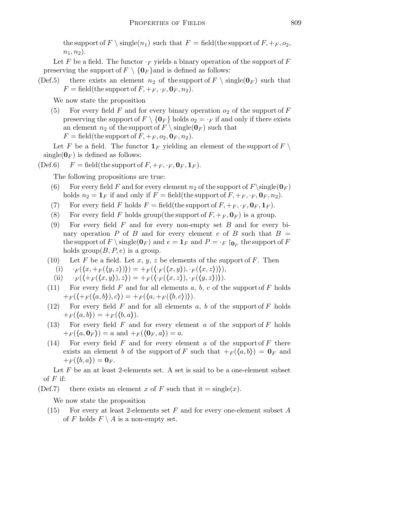the support of  $F \setminus \text{single}(n_1)$  such that  $F = \text{field}(\text{the support of } F, +_F, o_2,$  $n_1, n_2$ ).

Let F be a field. The functor  $\cdot_F$  yields a binary operation of the support of F preserving the support of  $F \setminus \{0_F\}$  and is defined as follows:

(Def.5) there exists an element  $n_2$  of the support of  $F \setminus \text{single}(\mathbf{0}_F)$  such that  $F = \text{field}(\text{the support of } F, +_F, \cdot_F, \mathbf{0}_F, n_2).$ 

We now state the proposition

(5) For every field F and for every binary operation  $o_2$  of the support of F preserving the support of  $F \setminus \{0_F\}$  holds  $o_2 = \cdot_F$  if and only if there exists an element  $n_2$  of the support of  $F \setminus \{ \mathbf{0}_F \}$  such that  $F = \text{field}(\text{the support of } F, +_F, o_2, \mathbf{0}_F, n_2).$ 

Let F be a field. The functor  $\mathbf{1}_F$  yielding an element of the support of  $F \setminus$ single( $\mathbf{0}_F$ ) is defined as follows:

(Def.6)  $F = \text{field}(\text{the support of } F, +_F, \cdot_F, \mathbf{0}_F, \mathbf{1}_F).$ 

The following propositions are true:

- (6) For every field F and for every element  $n_2$  of the support of  $F\simeq(0_F)$ holds  $n_2 = \mathbf{1}_F$  if and only if  $F = \text{field}(\text{the support of } F, +_F, \cdot_F, \mathbf{0}_F, n_2)$ .
- (7) For every field F holds  $F = \text{field}(\text{the support of } F, +_F, \cdot_F, \mathbf{0}_F, \mathbf{1}_F).$
- (8) For every field F holds group(the support of  $F, +_F, \mathbf{0}_F$ ) is a group.
- (9) For every field  $F$  and for every non-empty set  $B$  and for every binary operation P of B and for every element e of B such that  $B =$ the support of  $F \setminus \text{single}(\mathbf{0}_F)$  and  $e = \mathbf{1}_F$  and  $P = \cdot_F \restriction_{\mathbf{0}_F}$  the support of  $F$ holds group( $B, P, e$ ) is a group.
- (10) Let F be a field. Let x, y, z be elements of the support of F. Then
	- (i)  $\cdot_F (\langle x, +_F (\langle y, z \rangle)) \rangle = \langle x, +_F (\langle x, y \rangle), \cdot_F (\langle x, z \rangle) \rangle,$
	- (ii)  $\cdot_F (\langle +_F (\langle x,y \rangle), z \rangle) = +_F (\langle \cdot_F (\langle x,z \rangle), \cdot_F (\langle y,z \rangle) \rangle).$
- (11) For every field F and for all elements a, b, c of the support of F holds  $+ F(\langle +F(\langle a,b \rangle),c \rangle) = + F(\langle a,+F(\langle b,c \rangle)\rangle).$
- (12) For every field  $F$  and for all elements  $a, b$  of the support of  $F$  holds  $+F(\langle a,b\rangle) = +F(\langle b,a\rangle).$
- (13) For every field  $F$  and for every element  $a$  of the support of  $F$  holds  $+F(\langle a,\mathbf{0}_F\rangle)=a$  and  $+F(\langle \mathbf{0}_F, a\rangle)=a$ .
- (14) For every field F and for every element a of the support of F there exists an element b of the support of F such that  $+_{F}(\langle a,b\rangle) = \mathbf{0}_{F}$  and  $+ F(\langle b,a \rangle) = \mathbf{0}_F.$

Let  $F$  be an at least 2-elements set. A set is said to be a one-element subset of  $F$  if:

(Def.7) there exists an element x of F such that it  $=$  single(x).

We now state the proposition

(15) For every at least 2-elements set  $F$  and for every one-element subset  $A$ of F holds  $F \setminus A$  is a non-empty set.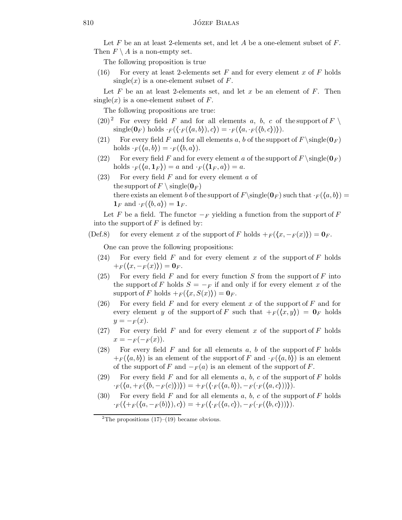Let  $F$  be an at least 2-elements set, and let  $A$  be a one-element subset of  $F$ . Then  $F \setminus A$  is a non-empty set.

The following proposition is true

(16) For every at least 2-elements set F and for every element x of F holds single(x) is a one-element subset of  $F$ .

Let F be an at least 2-elements set, and let x be an element of F. Then  $single(x)$  is a one-element subset of F.

The following propositions are true:

- $(20)^2$  For every field F and for all elements a, b, c of the support of F \  $\text{single}(\mathbf{0}_F) \text{ holds } \cdot_F(\langle \cdot_F(\langle a,b \rangle), c \rangle) = \cdot_F(\langle a, \cdot_F(\langle b,c \rangle) \rangle).$
- (21) For every field F and for all elements a, b of the support of  $F \simeq (0_F)$ holds  $\cdot_F(\langle a,b\rangle) = \cdot_F(\langle b,a\rangle).$
- (22) For every field F and for every element a of the support of  $F \setminus \{0_F\}$ holds  $\cdot_F(\langle a, 1_F \rangle) = a$  and  $\cdot_F(\langle 1_F, a \rangle) = a$ .
- $(23)$  For every field F and for every element a of the support of  $F \setminus \{ \text{single}(\mathbf{0}_F) \}$ there exists an element b of the support of  $F\setminus \{0_F\}$  such that  $\cdot_F(\langle a,b\rangle) =$  $\mathbf{1}_F$  and  $\cdot_F(\langle b,a \rangle) = \mathbf{1}_F$ .

Let F be a field. The functor  $-F$  yielding a function from the support of F into the support of  $F$  is defined by:

(Def.8) for every element x of the support of F holds  $+ F(\langle x, -F(x)\rangle) = \mathbf{0}_F$ .

One can prove the following propositions:

- (24) For every field F and for every element x of the support of F holds  $+F(\langle x, -F(x)\rangle) = 0_F.$
- (25) For every field F and for every function S from the support of F into the support of F holds  $S = -F$  if and only if for every element x of the support of F holds  $+ F(\langle x, S(x)\rangle) = \mathbf{0}_F$ .
- (26) For every field F and for every element x of the support of F and for every element y of the support of F such that  $+ F(x,y) = 0$ F holds  $y = -F(x)$ .
- (27) For every field F and for every element x of the support of F holds  $x = -F(-F(x)).$
- (28) For every field  $F$  and for all elements  $a, b$  of the support of  $F$  holds  $+_{F} (\langle a,b \rangle)$  is an element of the support of F and  $\cdot_{F} (\langle a,b \rangle)$  is an element of the support of F and  $-F(a)$  is an element of the support of F.
- (29) For every field F and for all elements a, b, c of the support of F holds  $\cdot_F(\langle a, +_F(\langle b, -_F(c)\rangle)\rangle) = +_F(\langle \cdot_F(\langle a,b\rangle), -_F(\cdot_F(\langle a,c\rangle))\rangle).$
- (30) For every field  $F$  and for all elements  $a, b, c$  of the support of  $F$  holds  $\cdot_F (\langle +_F (\langle a, -_F (b) \rangle), c \rangle) = +_F (\langle \cdot_F (\langle a, c \rangle), -_F (\cdot_F (\langle b, c \rangle)) \rangle).$

<sup>&</sup>lt;sup>2</sup>The propositions  $(17)$ – $(19)$  became obvious.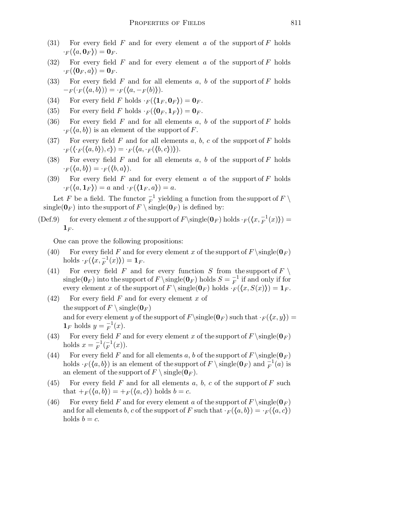- (31) For every field  $F$  and for every element  $a$  of the support of  $F$  holds  $\cdot_F(\langle a, 0_F \rangle) = 0_F.$
- (32) For every field F and for every element a of the support of F holds  $\cdot_F(\langle 0_F, a\rangle) = 0_F.$
- (33) For every field  $F$  and for all elements  $a, b$  of the support of  $F$  holds  $-F(\cdot_F(\langle a,b \rangle)) = \cdot_F(\langle a,-F(b) \rangle).$
- (34) For every field F holds  $\cdot_F(\langle \mathbf{1}_F, \mathbf{0}_F \rangle) = \mathbf{0}_F$ .
- (35) For every field F holds  $\cdot_F(\langle \mathbf{0}_F, \mathbf{1}_F \rangle) = \mathbf{0}_F$ .
- (36) For every field F and for all elements  $a, b$  of the support of F holds  $\cdot_F(\langle a,b\rangle)$  is an element of the support of F.
- (37) For every field F and for all elements a, b, c of the support of F holds  $\cdot_F(\langle \cdot_F(\langle a,b \rangle),c\rangle) = \cdot_F(\langle a, \cdot_F(\langle b,c \rangle)\rangle).$
- (38) For every field  $F$  and for all elements  $a, b$  of the support of  $F$  holds  $\cdot_F(\langle a,b\rangle) = \cdot_F(\langle b,a\rangle).$
- (39) For every field  $F$  and for every element  $a$  of the support of  $F$  holds  $\cdot_F(\langle a, \mathbf{1}_F \rangle) = a$  and  $\cdot_F(\langle \mathbf{1}_F , a \rangle) = a$ .

Let F be a field. The functor  $\frac{-1}{F}$  yielding a function from the support of  $F \setminus$ single( $0_F$ ) into the support of  $F \setminus \text{single}(0_F)$  is defined by:

(Def.9) for every element x of the support of  $F\setminus \{Q_F\}$  holds  $\cdot_F(\langle x, \frac{-1}{F}(x) \rangle) =$  $\mathbf{1}_F$ .

One can prove the following propositions:

- (40) For every field F and for every element x of the support of  $F \setminus \{0_F\}$ holds  $\cdot_F(\langle x, \frac{-1}{F}(x)\rangle) = \mathbf{1}_F.$
- (41) For every field F and for every function S from the support of F  $\setminus$ single( $\mathbf{0}_F$ ) into the support of  $F \setminus \{ \mathbf{0}_F \}$  holds  $S = \frac{-1}{F}$  if and only if for every element x of the support of  $F \setminus \{0_F\}$  holds  $\cdot_F(\langle x,S(x)\rangle) = 1_F$ .
- $(42)$  For every field F and for every element x of the support of  $F \setminus \{ \text{single}(\mathbf{0}_F) \}$ and for every element y of the support of  $F\simeq(0_F)$  such that  $\cdot_F(\langle x,y\rangle) =$  $\mathbf{1}_F$  holds  $y = \frac{-1}{F}(x)$ .
- (43) For every field F and for every element x of the support of  $F \setminus \{0_F\}$ holds  $x = \frac{y}{F}$  $\mathcal{L}_F^{-1}(\mathcal{L}^1)$  $F^{-1}(x)$ ).
- (44) For every field F and for all elements a, b of the support of  $F \simeq (0_F)$ holds  $\cdot_F(\langle a,b\rangle)$  is an element of the support of  $F \setminus \text{single}(\mathbf{0}_F)$  and  $_F^{-1}(a)$  is an element of the support of  $F \setminus \{ \text{single}(\mathbf{0}_F) \}$ .
- (45) For every field F and for all elements a, b, c of the support of F such that  $+F(\langle a,b \rangle) = +F(\langle a,c \rangle)$  holds  $b = c$ .
- (46) For every field F and for every element a of the support of  $F \setminus \text{single}(\mathbf{0}_F)$ and for all elements b, c of the support of F such that  $\cdot_F(\langle a,b \rangle) = \cdot_F(\langle a,c \rangle)$ holds  $b = c$ .